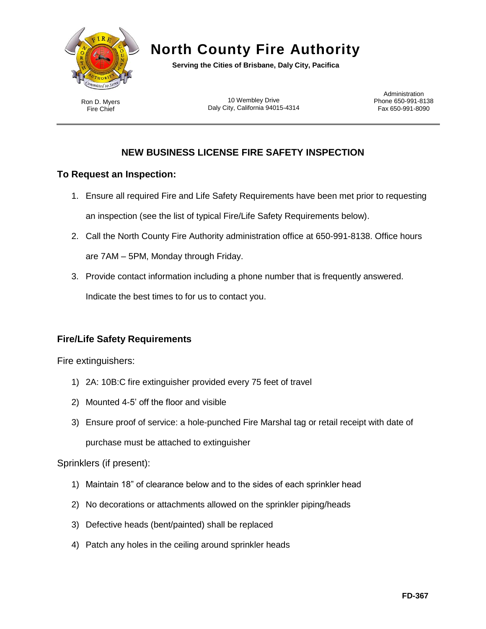

# **North County Fire Authority**

**Serving the Cities of Brisbane, Daly City, Pacifica**

Ron D. Myers Fire Chief

10 Wembley Drive Daly City, California 94015-4314

**Administration** Phone 650-991-8138 Fax 650-991-8090

## **NEW BUSINESS LICENSE FIRE SAFETY INSPECTION**

## **To Request an Inspection:**

- 1. Ensure all required Fire and Life Safety Requirements have been met prior to requesting an inspection (see the list of typical Fire/Life Safety Requirements below).
- 2. Call the North County Fire Authority administration office at 650-991-8138. Office hours are 7AM – 5PM, Monday through Friday.
- 3. Provide contact information including a phone number that is frequently answered. Indicate the best times to for us to contact you.

## **Fire/Life Safety Requirements**

Fire extinguishers:

- 1) 2A: 10B:C fire extinguisher provided every 75 feet of travel
- 2) Mounted 4-5' off the floor and visible
- 3) Ensure proof of service: a hole-punched Fire Marshal tag or retail receipt with date of purchase must be attached to extinguisher

### Sprinklers (if present):

- 1) Maintain 18" of clearance below and to the sides of each sprinkler head
- 2) No decorations or attachments allowed on the sprinkler piping/heads
- 3) Defective heads (bent/painted) shall be replaced
- 4) Patch any holes in the ceiling around sprinkler heads